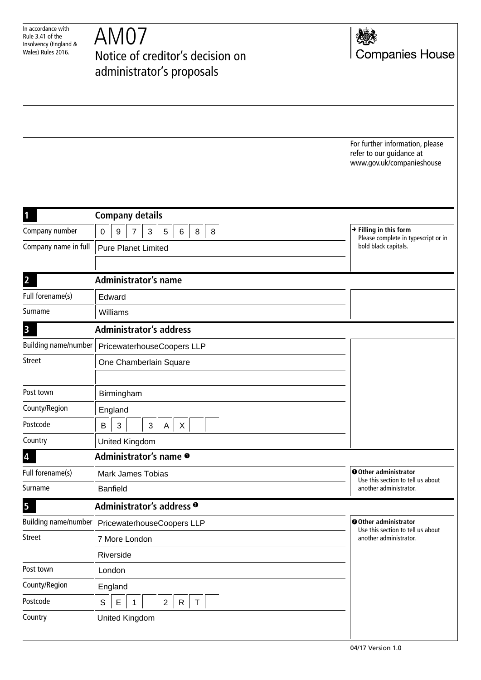| In accordance with    |
|-----------------------|
| Rule 3.41 of the      |
| Insolvency (England & |
| Wales) Rules 2016.    |

AM07 Notice of creditor's decision on administrator's proposals



For further information, please refer to our guidance at www.gov.uk/companieshouse

| 1                           | <b>Company details</b>                                                               |                                                                                      |  |
|-----------------------------|--------------------------------------------------------------------------------------|--------------------------------------------------------------------------------------|--|
| Company number              | 8<br>3<br>8<br>0<br>9<br>7<br>5<br>6                                                 | $\rightarrow$ Filling in this form<br>Please complete in typescript or in            |  |
| Company name in full        | <b>Pure Planet Limited</b>                                                           | bold black capitals.                                                                 |  |
|                             |                                                                                      |                                                                                      |  |
| $\overline{2}$              | <b>Administrator's name</b>                                                          |                                                                                      |  |
| Full forename(s)            | Edward                                                                               |                                                                                      |  |
| Surname                     | Williams                                                                             |                                                                                      |  |
| 3                           | <b>Administrator's address</b>                                                       |                                                                                      |  |
| <b>Building name/number</b> | PricewaterhouseCoopers LLP                                                           |                                                                                      |  |
| <b>Street</b>               | One Chamberlain Square                                                               |                                                                                      |  |
|                             |                                                                                      |                                                                                      |  |
| Post town                   | Birmingham                                                                           |                                                                                      |  |
| County/Region               | England                                                                              |                                                                                      |  |
| Postcode                    | 3<br>3<br>X<br>B<br>Α                                                                |                                                                                      |  |
| Country                     | United Kingdom                                                                       |                                                                                      |  |
| 4                           | Administrator's name $\bullet$                                                       |                                                                                      |  |
| Full forename(s)            | <b>Mark James Tobias</b>                                                             | O Other administrator<br>Use this section to tell us about                           |  |
| Surname                     | <b>Banfield</b>                                                                      | another administrator.                                                               |  |
| 5                           | Administrator's address <sup>®</sup>                                                 |                                                                                      |  |
| <b>Building name/number</b> | PricewaterhouseCoopers LLP                                                           | O Other administrator<br>Use this section to tell us about<br>another administrator. |  |
| <b>Street</b>               | 7 More London                                                                        |                                                                                      |  |
|                             | Riverside                                                                            |                                                                                      |  |
| Post town                   | London                                                                               |                                                                                      |  |
| County/Region               | England                                                                              |                                                                                      |  |
| Postcode                    | $\mathsf E$<br>$\mathbb S$<br>$\mathbf{2}$<br>$\mathsf{R}$<br>$\top$<br>$\mathbf{1}$ |                                                                                      |  |
| Country                     | <b>United Kingdom</b>                                                                |                                                                                      |  |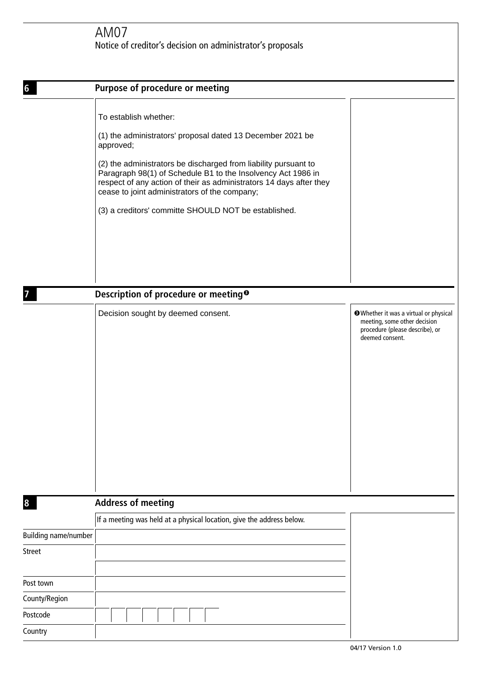| 6                           | Purpose of procedure or meeting                                                                                                                                                                                                                                                                                                                                                                                     |                                                                                                                            |
|-----------------------------|---------------------------------------------------------------------------------------------------------------------------------------------------------------------------------------------------------------------------------------------------------------------------------------------------------------------------------------------------------------------------------------------------------------------|----------------------------------------------------------------------------------------------------------------------------|
|                             | To establish whether:<br>(1) the administrators' proposal dated 13 December 2021 be<br>approved;<br>(2) the administrators be discharged from liability pursuant to<br>Paragraph 98(1) of Schedule B1 to the Insolvency Act 1986 in<br>respect of any action of their as administrators 14 days after they<br>cease to joint administrators of the company;<br>(3) a creditors' committe SHOULD NOT be established. |                                                                                                                            |
|                             | Description of procedure or meeting <sup>®</sup>                                                                                                                                                                                                                                                                                                                                                                    |                                                                                                                            |
|                             | Decision sought by deemed consent.                                                                                                                                                                                                                                                                                                                                                                                  | Whether it was a virtual or physical<br>meeting, some other decision<br>procedure (please describe), or<br>deemed consent. |
| 8                           | <b>Address of meeting</b>                                                                                                                                                                                                                                                                                                                                                                                           |                                                                                                                            |
|                             | If a meeting was held at a physical location, give the address below.                                                                                                                                                                                                                                                                                                                                               |                                                                                                                            |
| <b>Building name/number</b> |                                                                                                                                                                                                                                                                                                                                                                                                                     |                                                                                                                            |
| <b>Street</b>               |                                                                                                                                                                                                                                                                                                                                                                                                                     |                                                                                                                            |
| Post town                   |                                                                                                                                                                                                                                                                                                                                                                                                                     |                                                                                                                            |
| County/Region               |                                                                                                                                                                                                                                                                                                                                                                                                                     |                                                                                                                            |
| Postcode                    |                                                                                                                                                                                                                                                                                                                                                                                                                     |                                                                                                                            |
| Country                     |                                                                                                                                                                                                                                                                                                                                                                                                                     |                                                                                                                            |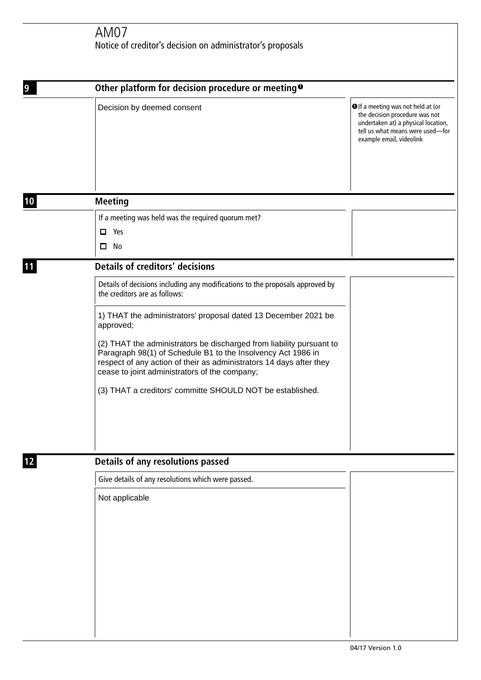## AM07 Notice of creditor's decision on administrator's proposals

| 9  | Other platform for decision procedure or meeting <sup>o</sup>                                                                                                                                                                                                |                                                                                                                                                                             |
|----|--------------------------------------------------------------------------------------------------------------------------------------------------------------------------------------------------------------------------------------------------------------|-----------------------------------------------------------------------------------------------------------------------------------------------------------------------------|
|    | Decision by deemed consent                                                                                                                                                                                                                                   | O If a meeting was not held at (or<br>the decision procedure was not<br>undertaken at) a physical location,<br>tell us what means were used-for<br>example email, videolink |
| 10 | <b>Meeting</b>                                                                                                                                                                                                                                               |                                                                                                                                                                             |
|    | If a meeting was held was the required quorum met?                                                                                                                                                                                                           |                                                                                                                                                                             |
|    | Yes                                                                                                                                                                                                                                                          |                                                                                                                                                                             |
|    | $\square$ No                                                                                                                                                                                                                                                 |                                                                                                                                                                             |
| 11 | <b>Details of creditors' decisions</b>                                                                                                                                                                                                                       |                                                                                                                                                                             |
|    | Details of decisions including any modifications to the proposals approved by<br>the creditors are as follows:                                                                                                                                               |                                                                                                                                                                             |
|    | 1) THAT the administrators' proposal dated 13 December 2021 be<br>approved;                                                                                                                                                                                  |                                                                                                                                                                             |
|    | (2) THAT the administrators be discharged from liability pursuant to<br>Paragraph 98(1) of Schedule B1 to the Insolvency Act 1986 in<br>respect of any action of their as administrators 14 days after they<br>cease to joint administrators of the company; |                                                                                                                                                                             |
|    | (3) THAT a creditors' committe SHOULD NOT be established.                                                                                                                                                                                                    |                                                                                                                                                                             |
| 12 | Details of any resolutions passed                                                                                                                                                                                                                            |                                                                                                                                                                             |
|    | Give details of any resolutions which were passed.                                                                                                                                                                                                           |                                                                                                                                                                             |
|    | Not applicable                                                                                                                                                                                                                                               |                                                                                                                                                                             |
|    |                                                                                                                                                                                                                                                              |                                                                                                                                                                             |
|    |                                                                                                                                                                                                                                                              |                                                                                                                                                                             |
|    |                                                                                                                                                                                                                                                              |                                                                                                                                                                             |
|    |                                                                                                                                                                                                                                                              |                                                                                                                                                                             |
|    |                                                                                                                                                                                                                                                              |                                                                                                                                                                             |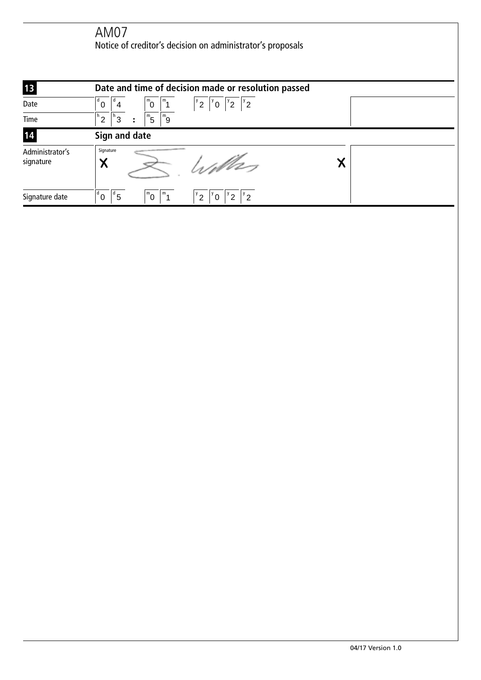AM07 Notice of creditor's decision on administrator's proposals

| 13                           | Date and time of decision made or resolution passed                                                                                      |  |
|------------------------------|------------------------------------------------------------------------------------------------------------------------------------------|--|
| Date                         | $\int_{0}^{\infty}$<br>$\mathsf{I}^{\mathsf{m}}$ <sub>1</sub><br>$\begin{bmatrix} y_0 & y_2 & y_2 \end{bmatrix}$<br>$\sigma^{\nu}$<br>٥î |  |
| Time                         | $m_{\overline{5}}$<br>$\mathsf{I}^{\mathsf{m}}$ 9<br>$^{\circ}$ 3<br>" າ                                                                 |  |
| 14                           | Sign and date                                                                                                                            |  |
| Administrator's<br>signature | Signature<br>William<br>Χ                                                                                                                |  |
| Signature date               | 1 <sup>d</sup><br>$^{\text{Id}}$ 5<br>$1^{\mathrm{m}}$ 0<br>$\mathbf{m}_{1}$<br>$^{\prime}$ 2<br>190<br>റ<br>ົ                           |  |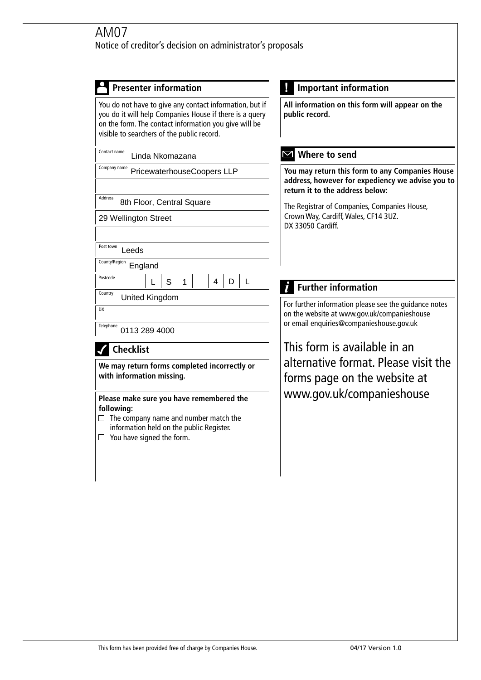| <b>Important information</b>                                                                                                                                                                                                                        |  |
|-----------------------------------------------------------------------------------------------------------------------------------------------------------------------------------------------------------------------------------------------------|--|
| All information on this form will appear on the<br>public record.                                                                                                                                                                                   |  |
| Where to send<br>M                                                                                                                                                                                                                                  |  |
| You may return this form to any Companies House<br>address, however for expediency we advise you to<br>return it to the address below:<br>The Registrar of Companies, Companies House,<br>Crown Way, Cardiff, Wales, CF14 3UZ.<br>DX 33050 Cardiff. |  |
|                                                                                                                                                                                                                                                     |  |
|                                                                                                                                                                                                                                                     |  |
| <b>Further information</b>                                                                                                                                                                                                                          |  |
| For further information please see the guidance notes                                                                                                                                                                                               |  |
| on the website at www.gov.uk/companieshouse<br>or email enquiries@companieshouse.gov.uk                                                                                                                                                             |  |
| This form is available in an                                                                                                                                                                                                                        |  |
| alternative format. Please visit the<br>forms page on the website at<br>www.gov.uk/companieshouse                                                                                                                                                   |  |
|                                                                                                                                                                                                                                                     |  |